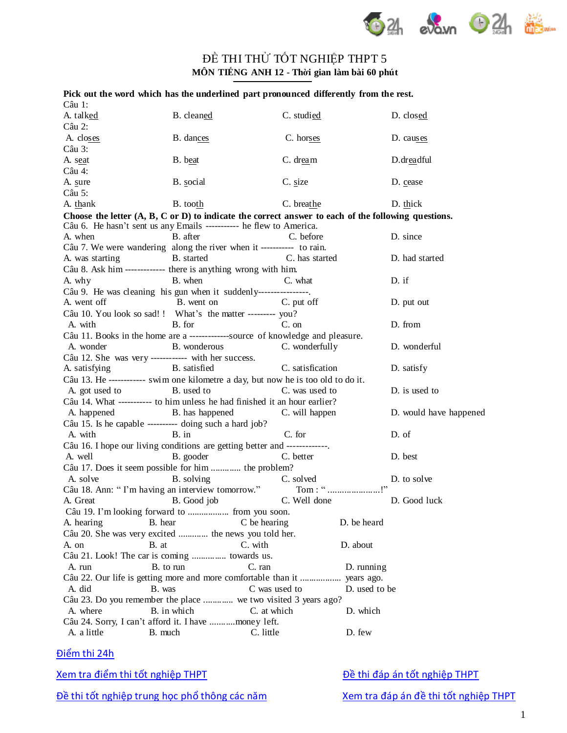

## ĐỀ THI THỦ TỐT NGHIỆP THPT 5 **MÔN TIẾNG ANH 12 - Thời gian làm bài 60 phút**

|                 |                                                                                  | Pick out the word which has the underlined part pronounced differently from the rest.                          |                        |
|-----------------|----------------------------------------------------------------------------------|----------------------------------------------------------------------------------------------------------------|------------------------|
| Câu 1:          |                                                                                  |                                                                                                                |                        |
| A. talked       | B. cleaned                                                                       | C. studied                                                                                                     | D. closed              |
| Câu 2:          |                                                                                  |                                                                                                                |                        |
| A. closes       | B. dances                                                                        | C. horses                                                                                                      | D. causes              |
| Câu 3:          |                                                                                  |                                                                                                                |                        |
| A. seat         | B. beat                                                                          | C. dream                                                                                                       | D.dreadful             |
| Câu 4:          |                                                                                  |                                                                                                                |                        |
| A. sure         | B. social                                                                        | C. size                                                                                                        | D. cease               |
| Câu 5:          |                                                                                  |                                                                                                                |                        |
| A. thank        | B. tooth                                                                         | C. breathe                                                                                                     | D. thick               |
|                 |                                                                                  | Choose the letter $(A, B, C \text{ or } D)$ to indicate the correct answer to each of the following questions. |                        |
|                 | Câu 6. He hasn't sent us any Emails ----------- he flew to America.              |                                                                                                                |                        |
| A. when         | B. after                                                                         | C. before                                                                                                      | D. since               |
|                 | Câu 7. We were wandering along the river when it ----------- to rain.            |                                                                                                                |                        |
| A. was starting | B. started                                                                       | C. has started                                                                                                 | D. had started         |
|                 | Câu 8. Ask him ------------- there is anything wrong with him.                   |                                                                                                                |                        |
| A. why          | B. when                                                                          | C. what                                                                                                        | D. if                  |
|                 | Câu 9. He was cleaning his gun when it suddenly----------------.                 |                                                                                                                |                        |
| A. went off     | B. went on                                                                       | C. put off                                                                                                     | D. put out             |
|                 | Câu 10. You look so sad!! What's the matter --------- you?                       |                                                                                                                |                        |
| A. with         | B. for                                                                           | C. on                                                                                                          | D. from                |
|                 | Câu 11. Books in the home are a -------------source of knowledge and pleasure.   |                                                                                                                |                        |
| A. wonder       | B. wonderous                                                                     | C. wonderfully                                                                                                 | D. wonderful           |
|                 | Câu 12. She was very ------------ with her success.                              |                                                                                                                |                        |
| A. satisfying   | B. satisfied                                                                     | C. satisfication                                                                                               | D. satisfy             |
|                 | Câu 13. He ----------- swim one kilometre a day, but now he is too old to do it. |                                                                                                                |                        |
| A. got used to  | B. used to                                                                       | C. was used to                                                                                                 | D. is used to          |
|                 | Câu 14. What ----------- to him unless he had finished it an hour earlier?       |                                                                                                                |                        |
| A. happened     | B. has happened                                                                  | C. will happen                                                                                                 | D. would have happened |
|                 | Câu 15. Is he capable ---------- doing such a hard job?                          |                                                                                                                |                        |
| A. with         | $B.$ in                                                                          | C. for                                                                                                         | D. of                  |
|                 | Câu 16. I hope our living conditions are getting better and -------------.       |                                                                                                                |                        |
| A. well         | B. gooder                                                                        | C. better                                                                                                      | D. best                |
|                 | Câu 17. Does it seem possible for him  the problem?                              |                                                                                                                |                        |
| A. solve        | B. solving                                                                       | C. solved                                                                                                      | D. to solve            |
|                 | Câu 18. Ann: "I'm having an interview tomorrow."                                 |                                                                                                                |                        |
| A. Great        | B. Good job                                                                      | C. Well done                                                                                                   | D. Good luck           |
|                 |                                                                                  |                                                                                                                |                        |
| A. hearing      | B. hear                                                                          | C be hearing<br>D. be heard                                                                                    |                        |
|                 | Câu 20. She was very excited  the news you told her.                             |                                                                                                                |                        |
| A. on           | C. with<br>B. at                                                                 | D. about                                                                                                       |                        |
|                 | Câu 21. Look! The car is coming  towards us.                                     |                                                                                                                |                        |
| A. run          | B. to run<br>C. ran                                                              | D. running                                                                                                     |                        |
|                 |                                                                                  | Câu 22. Our life is getting more and more comfortable than it  years ago.                                      |                        |
| A. did          | B. was                                                                           | C was used to<br>D. used to be                                                                                 |                        |
|                 | Câu 23. Do you remember the place  we two visited 3 years ago?                   |                                                                                                                |                        |
| A. where        | B. in which                                                                      | D. which<br>C. at which                                                                                        |                        |
|                 | Câu 24. Sorry, I can't afford it. I have money left.                             |                                                                                                                |                        |
| A. a little     | B. much                                                                          | D. few<br>C. little                                                                                            |                        |
|                 |                                                                                  |                                                                                                                |                        |

## Điể[m thi 24h](http://diemthi.24h.com.vn)

[Xem tra điể](http://diemthi.24h.com.vn/diem-thi-tot-nghiep-thpt/)m thi tốt nghiệp THPT **Dề [thi đáp án tố](http://diemthi.24h.com.vn/dap-an-de-thi-thpt/)t nghiệp THPT** 

Đề thi tốt nghiệp trung học phổ [thông các năm](http://diemthi.24h.com.vn/dap-an-de-thi-thpt/) [Xem tra đáp án đề](http://diemthi.24h.com.vn/dap-an-de-thi-thpt/) thi tốt nghiệp THPT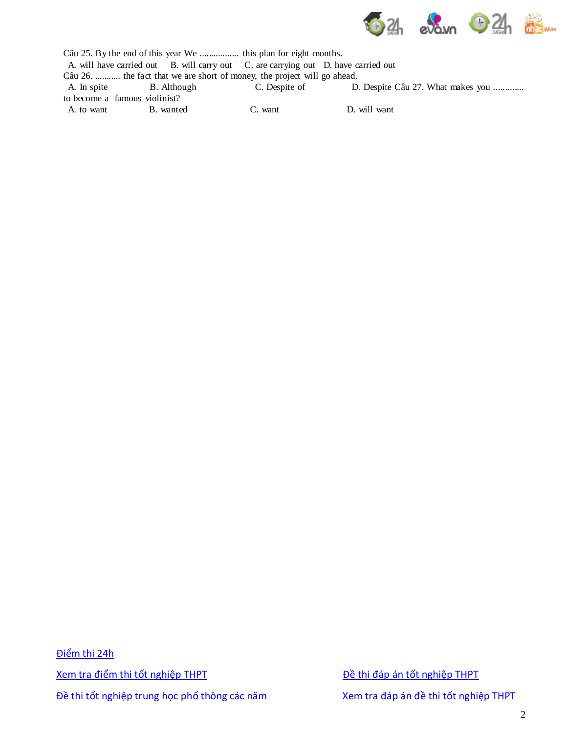

|            | A. will have carried out B. will carry out C. are carrying out D. have carried out |               |                                   |  |  |  |  |  |  |  |
|------------|------------------------------------------------------------------------------------|---------------|-----------------------------------|--|--|--|--|--|--|--|
|            | Câu 26.  the fact that we are short of money, the project will go ahead.           |               |                                   |  |  |  |  |  |  |  |
|            | A. In spite B. Although                                                            | C. Despite of | D. Despite Câu 27. What makes you |  |  |  |  |  |  |  |
|            | to become a famous violinist?                                                      |               |                                   |  |  |  |  |  |  |  |
| A. to want | B. wanted                                                                          | C. want       | D. will want                      |  |  |  |  |  |  |  |
|            |                                                                                    |               |                                   |  |  |  |  |  |  |  |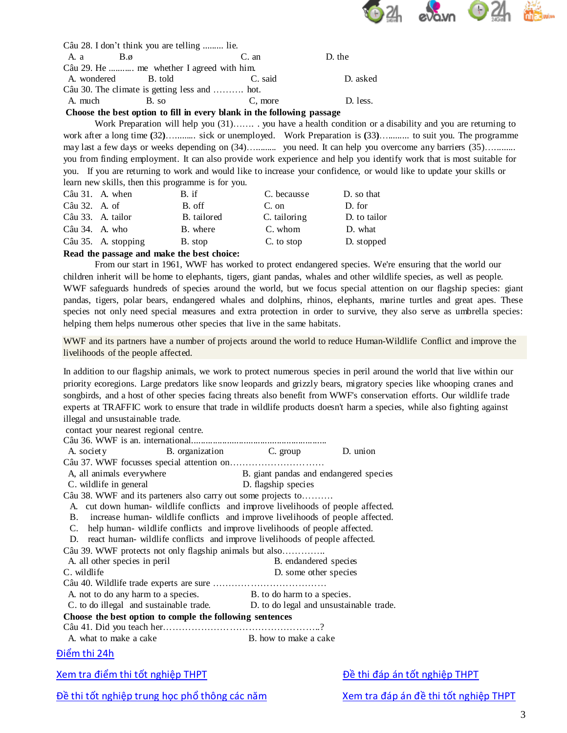

|                       | Câu 28. I don't think you are telling  lie.   |         |          |  |  |
|-----------------------|-----------------------------------------------|---------|----------|--|--|
| A. a<br>$B.\emptyset$ |                                               | C. an   | D. the   |  |  |
|                       | Câu 29. He  me whether I agreed with him.     |         |          |  |  |
| A. wondered           | B. told                                       | C. said | D. asked |  |  |
|                       | Câu 30. The climate is getting less and  hot. |         |          |  |  |
| A. much               | B. so                                         | C, more | D. less. |  |  |

## **Choose the best option to fill in every blank in the following passage**

Work Preparation will help you (31)……. . you have a health condition or a disability and you are returning to work after a long time **(**32**)**…......... sick or unemployed. Work Preparation is **(**33**)**…......... to suit you. The programme may last a few days or weeks depending on (34)….......... you need. It can help you overcome any barriers (35)…......... you from finding employment. It can also provide work experience and help you identify work that is most suitable for you. If you are returning to work and would like to increase your confidence, or would like to update your skills or learn new skills, then this programme is for you.

|                | Câu 31. A. when     | B. if       | C. becausse  | D. so that   |
|----------------|---------------------|-------------|--------------|--------------|
| Câu 32. A. of  |                     | B. off      | $C.$ on      | D. for       |
|                | Câu 33. A. tailor   | B. tailored | C. tailoring | D. to tailor |
| Câu 34. A. who |                     | B. where    | C. whom      | D. what      |
|                | Câu 35. A. stopping | B. stop     | C. to stop   | D. stopped   |

## **Read the passage and make the best choice:**

From our start in 1961, WWF has worked to protect endangered species. We're ensuring that the world our children inherit will be home to elephants, tigers, giant pandas, whales and other wildlife species, as well as people. WWF safeguards hundreds of species around the world, but we focus special attention on our flagship species: giant pandas, tigers, polar bears, endangered whales and dolphins, rhinos, elephants, marine turtles and great apes. These species not only need special measures and extra protection in order to survive, they also serve as umbrella species: helping them helps numerous other species that live in the same habitats.

WWF and its partners have a number of projects around the world to reduce Human-Wildlife Conflict and improve the livelihoods of the people affected.

In addition to our flagship animals, we work to protect numerous species in peril around the world that live within our priority ecoregions. Large predators like snow leopards and grizzly bears, migratory species like whooping cranes and songbirds, and a host of other species facing threats also benefit from WWF's conservation efforts. Our wildlife trade experts at TRAFFIC work to ensure that trade in wildlife products doesn't harm a species, while also fighting against illegal and unsustainable trade.

| contact your nearest regional centre.                                           |                                                                                   |                                        |          |  |  |  |  |  |
|---------------------------------------------------------------------------------|-----------------------------------------------------------------------------------|----------------------------------------|----------|--|--|--|--|--|
|                                                                                 |                                                                                   |                                        |          |  |  |  |  |  |
| A. society                                                                      |                                                                                   | B. organization C. group               | D. union |  |  |  |  |  |
|                                                                                 |                                                                                   |                                        |          |  |  |  |  |  |
| A, all animals everywhere                                                       |                                                                                   | B. giant pandas and endangered species |          |  |  |  |  |  |
| C. wildlife in general                                                          |                                                                                   | D. flagship species                    |          |  |  |  |  |  |
|                                                                                 | Câu 38. WWF and its parteners also carry out some projects to                     |                                        |          |  |  |  |  |  |
|                                                                                 | A. cut down human- wildlife conflicts and improve livelihoods of people affected. |                                        |          |  |  |  |  |  |
|                                                                                 | B. increase human- wildlife conflicts and improve livelihoods of people affected. |                                        |          |  |  |  |  |  |
|                                                                                 | C. help human-wildlife conflicts and improve livelihoods of people affected.      |                                        |          |  |  |  |  |  |
| D.                                                                              | react human-wildlife conflicts and improve livelihoods of people affected.        |                                        |          |  |  |  |  |  |
| Câu 39. WWF protects not only flagship animals but also                         |                                                                                   |                                        |          |  |  |  |  |  |
| A. all other species in peril                                                   |                                                                                   | B. endandered species                  |          |  |  |  |  |  |
| C. wildlife                                                                     |                                                                                   | D. some other species                  |          |  |  |  |  |  |
|                                                                                 |                                                                                   |                                        |          |  |  |  |  |  |
|                                                                                 | A not to do any harm to a species. B. to do harm to a species.                    |                                        |          |  |  |  |  |  |
| C. to do illegal and sustainable trade. D. to do legal and unsustainable trade. |                                                                                   |                                        |          |  |  |  |  |  |
| Choose the best option to comple the following sentences                        |                                                                                   |                                        |          |  |  |  |  |  |
|                                                                                 |                                                                                   |                                        |          |  |  |  |  |  |
| A. what to make a cake                                                          |                                                                                   | B, how to make a cake                  |          |  |  |  |  |  |
| Điểm thi 24h                                                                    |                                                                                   |                                        |          |  |  |  |  |  |

Xem tra điểm thi tốt nghiệp THPT **Diệu thuộc thiếp that th**i đáp án tốt nghiệp THPT

Đề thi tốt nghiệp trung học phổ thông các năm Xem tra đáp án đề thi tốt nghiệp THPT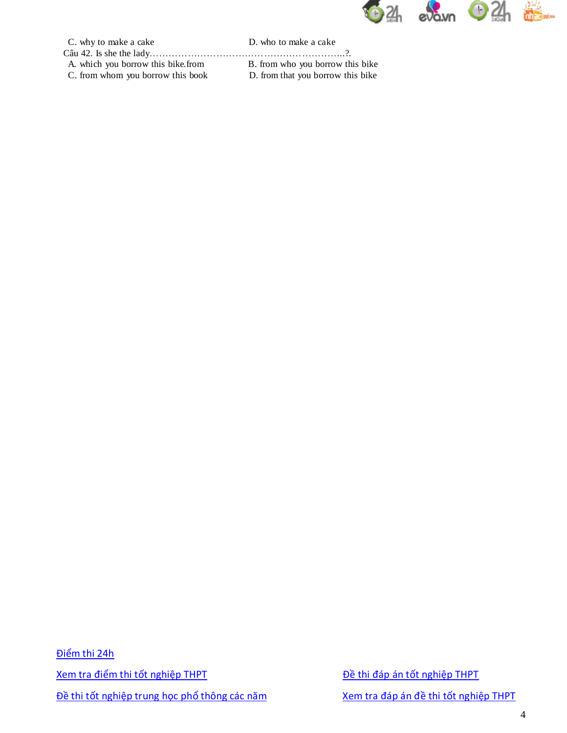

C. why to make a cake D. who to make a cake

Câu 42. Is she the lady……………………………………………………..?. A. which you borrow this bike.from B. from who you borrow this bike C. from whom you borrow this book D. from that you borrow this bike

Điểm thi 24h Xem tra điểm thi tốt nghiệp THPT <br>
Bề thi đáp án tốt nghiệp THPT Đề thi tốt nghiệp trung học phổ thông các năm Xem tra đáp án đề thi tốt nghiệp THPT